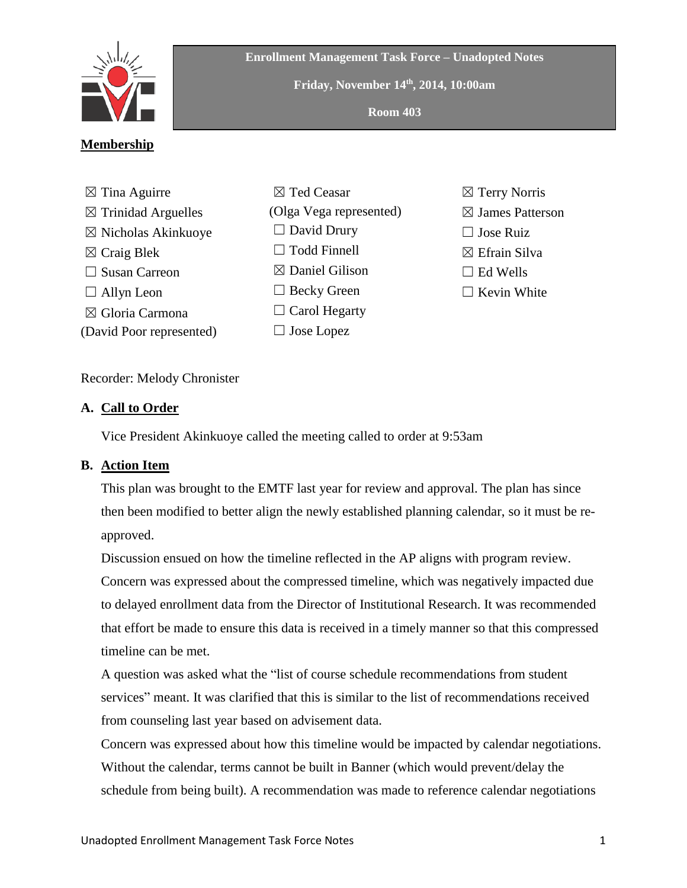

**Enrollment Management Task Force – Unadopted Notes**

**Friday, November 14th , 2014, 10:00am**

**Room 403**

# **Membership**

- $\boxtimes$  Tina Aguirre  $\boxtimes$  Trinidad Arguelles ☒ Nicholas Akinkuoye  $\boxtimes$  Craig Blek □ Susan Carreon  $\Box$  Allyn Leon ☒ Gloria Carmona (David Poor represented)
- ☒ Ted Ceasar (Olga Vega represented)  $\Box$  David Drury □ Todd Finnell  $\boxtimes$  Daniel Gilison ☐ Becky Green  $\Box$  Carol Hegarty ☐ Jose Lopez
- ☒ Terry Norris  $\boxtimes$  James Patterson  $\Box$  Jose Ruiz ☒ Efrain Silva  $\Box$  Ed Wells
- $\Box$  Kevin White

## Recorder: Melody Chronister

### **A. Call to Order**

Vice President Akinkuoye called the meeting called to order at 9:53am

## **B. Action Item**

This plan was brought to the EMTF last year for review and approval. The plan has since then been modified to better align the newly established planning calendar, so it must be reapproved.

Discussion ensued on how the timeline reflected in the AP aligns with program review.

Concern was expressed about the compressed timeline, which was negatively impacted due to delayed enrollment data from the Director of Institutional Research. It was recommended that effort be made to ensure this data is received in a timely manner so that this compressed timeline can be met.

A question was asked what the "list of course schedule recommendations from student services" meant. It was clarified that this is similar to the list of recommendations received from counseling last year based on advisement data.

Concern was expressed about how this timeline would be impacted by calendar negotiations. Without the calendar, terms cannot be built in Banner (which would prevent/delay the schedule from being built). A recommendation was made to reference calendar negotiations